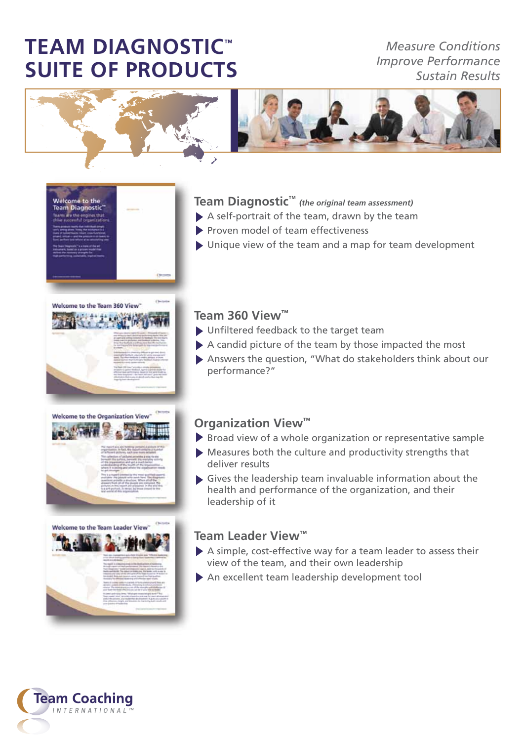# **TEAM DIAGNOSTIC™ SUITE OF PRODUCTS**

*Measure Conditions Improve Performance Sustain Results*



## **Team Diagnostic™** *(the original team assessment)*

- A self-portrait of the team, drawn by the team
- Proven model of team effectiveness
- $\triangleright$  Unique view of the team and a map for team development



Welcome to the<br>Team Diagnostic





### **Team 360 View™**

- Unfiltered feedback to the target team
- $\blacktriangleright$  A candid picture of the team by those impacted the most
- Answers the question, "What do stakeholders think about our performance?"

#### **Organization View™**

- $\triangleright$  Broad view of a whole organization or representative sample
- Measures both the culture and productivity strengths that deliver results
- Gives the leadership team invaluable information about the health and performance of the organization, and their leadership of it

#### **Team Leader View™**

- A simple, cost-effective way for a team leader to assess their view of the team, and their own leadership
- An excellent team leadership development tool